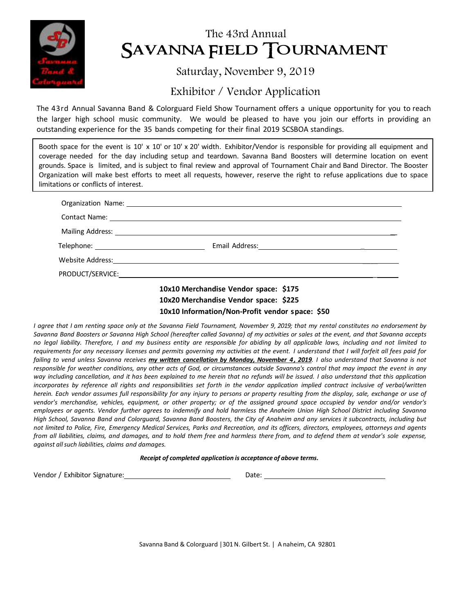

# The 43rd Annual SAVANNA FIELD TOURNAMENT

### Saturday, November 9, 2019

## Exhibitor / Vendor Application

The 43rd Annual Savanna Band & Colorguard Field Show Tournament offers a unique opportunity for you to reach the larger high school music community. We would be pleased to have you join our efforts in providing an outstanding experience for the 35 bands competing for their final 2019 SCSBOA standings.

Booth space for the event is 10' x 10' or 10' x 20' width. Exhibitor/Vendor is responsible for providing all equipment and coverage needed for the day including setup and teardown. Savanna Band Boosters will determine location on event grounds. Space is limited, and is subject to final review and approval of Tournament Chair and Band Director. The Booster Organization will make best efforts to meet all requests, however, reserve the right to refuse applications due to space limitations or conflicts of interest.

| Contact Name: <u>Contact Name:</u> Contact Name: 2008. |
|--------------------------------------------------------|
|                                                        |
|                                                        |
|                                                        |
|                                                        |
| 10x10 Marchandica Vandor snace: \$175                  |

#### **10x10 Merchandise Vendor space: \$175 10x20 Merchandise Vendor space: \$225 10x10 Information/Non-Profit vendor space: \$50**

I agree that I am renting space only at the Savanna Field Tournament, November 9, 2019; that my rental constitutes no endorsement by Savanna Band Boosters or Savanna High School (hereafter called Savanna) of my activities or sales at the event, and that Savanna accepts no legal liability. Therefore, I and my business entity are responsible for abiding by all applicable laws, including and not limited to requirements for any necessary licenses and permits governing my activities at the event. I understand that I will forfeit all fees paid for failing to vend unless Savanna receives my written cancellation by Monday, November 4, 2019. I also understand that Savanna is not responsible for weather conditions, any other acts of God, or circumstances outside Savanna's control that may impact the event in any way including cancellation, and it has been explained to me herein that no refunds will be issued. I also understand that this application incorporates by reference all rights and responsibilities set forth in the vendor application implied contract inclusive of verbal/written herein. Each vendor assumes full responsibility for any injury to persons or property resulting from the display, sale, exchange or use of vendor's merchandise, vehicles, equipment, or other property; or of the assigned ground space occupied by vendor and/or vendor's employees or agents. Vendor further agrees to indemnify and hold harmless the Anaheim Union High School District including Savanna High School, Savanna Band and Colorguard, Savanna Band Boosters, the City of Anaheim and any services it subcontracts, including but not limited to Police, Fire, Emergency Medical Services, Parks and Recreation, and its officers, directors, employees, attorneys and agents from all liabilities, claims, and damages, and to hold them free and harmless there from, and to defend them at vendor's sole expense, *against allsuch liabilities, claims and damages.*

#### *Receipt of completed application is acceptance of above terms.*

Vendor / Exhibitor Signature: 2000 2000 2000 2000 2010: 2010: 2010: 2010: 2010: 2010: 2010: 2010: 2010: 2010: 2010

Savanna Band & Colorguard | 301 N. Gilbert St. | A naheim, CA 92801